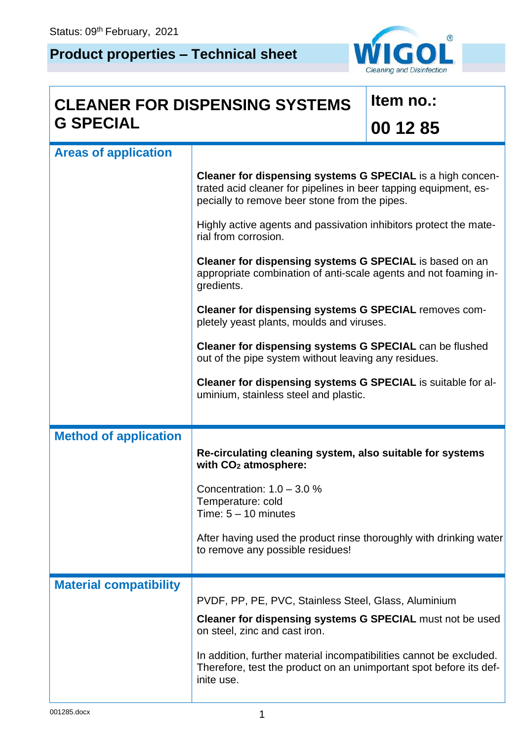## **Product properties – Technical sheet**



## **CLEANER FOR DISPENSING SYSTEMS G SPECIAL**

## **Item no.: 00 12 85**

| <b>Areas of application</b>   |                                                                                                                                                                                 |
|-------------------------------|---------------------------------------------------------------------------------------------------------------------------------------------------------------------------------|
|                               | Cleaner for dispensing systems G SPECIAL is a high concen-<br>trated acid cleaner for pipelines in beer tapping equipment, es-<br>pecially to remove beer stone from the pipes. |
|                               | Highly active agents and passivation inhibitors protect the mate-<br>rial from corrosion.                                                                                       |
|                               | Cleaner for dispensing systems G SPECIAL is based on an<br>appropriate combination of anti-scale agents and not foaming in-<br>gredients.                                       |
|                               | Cleaner for dispensing systems G SPECIAL removes com-<br>pletely yeast plants, moulds and viruses.                                                                              |
|                               | Cleaner for dispensing systems G SPECIAL can be flushed<br>out of the pipe system without leaving any residues.                                                                 |
|                               | Cleaner for dispensing systems G SPECIAL is suitable for al-<br>uminium, stainless steel and plastic.                                                                           |
|                               |                                                                                                                                                                                 |
|                               |                                                                                                                                                                                 |
| <b>Method of application</b>  | Re-circulating cleaning system, also suitable for systems<br>with CO <sub>2</sub> atmosphere:                                                                                   |
|                               | Concentration: $1.0 - 3.0 %$<br>Temperature: cold<br>Time: $5 - 10$ minutes                                                                                                     |
|                               | After having used the product rinse thoroughly with drinking water<br>to remove any possible residues!                                                                          |
| <b>Material compatibility</b> |                                                                                                                                                                                 |
|                               | PVDF, PP, PE, PVC, Stainless Steel, Glass, Aluminium                                                                                                                            |
|                               | <b>Cleaner for dispensing systems G SPECIAL must not be used</b><br>on steel, zinc and cast iron.                                                                               |